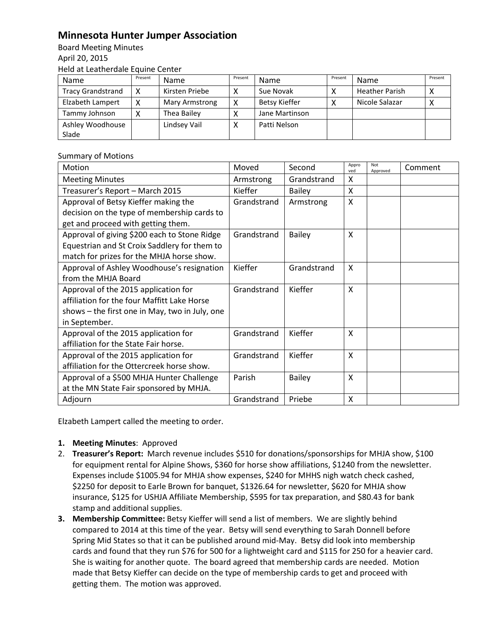## **Minnesota Hunter Jumper Association**

Board Meeting Minutes April 20, 2015 Held at Leatherdale Equine Center

| Name                      | Present | <b>Name</b>    | Present | Name                 | Present | Name                  | Present |
|---------------------------|---------|----------------|---------|----------------------|---------|-----------------------|---------|
| <b>Tracy Grandstrand</b>  |         | Kirsten Priebe |         | Sue Novak            |         | <b>Heather Parish</b> |         |
| Elzabeth Lampert          |         | Mary Armstrong | χ       | <b>Betsy Kieffer</b> |         | Nicole Salazar        |         |
| Tammy Johnson             |         | Thea Bailey    |         | Jane Martinson       |         |                       |         |
| Ashley Woodhouse<br>Slade |         | Lindsev Vail   |         | Patti Nelson         |         |                       |         |
|                           |         |                |         |                      |         |                       |         |

## Summary of Motions

| Motion                                         | Moved       | Second        | Appro<br>ved | Not<br>Approved | Comment |
|------------------------------------------------|-------------|---------------|--------------|-----------------|---------|
| <b>Meeting Minutes</b>                         | Armstrong   | Grandstrand   | x            |                 |         |
| Treasurer's Report - March 2015                | Kieffer     | <b>Bailey</b> | X            |                 |         |
| Approval of Betsy Kieffer making the           | Grandstrand | Armstrong     | X            |                 |         |
| decision on the type of membership cards to    |             |               |              |                 |         |
| get and proceed with getting them.             |             |               |              |                 |         |
| Approval of giving \$200 each to Stone Ridge   | Grandstrand | <b>Bailey</b> | X            |                 |         |
| Equestrian and St Croix Saddlery for them to   |             |               |              |                 |         |
| match for prizes for the MHJA horse show.      |             |               |              |                 |         |
| Approval of Ashley Woodhouse's resignation     | Kieffer     | Grandstrand   | X            |                 |         |
| from the MHJA Board                            |             |               |              |                 |         |
| Approval of the 2015 application for           | Grandstrand | Kieffer       | X            |                 |         |
| affiliation for the four Maffitt Lake Horse    |             |               |              |                 |         |
| shows - the first one in May, two in July, one |             |               |              |                 |         |
| in September.                                  |             |               |              |                 |         |
| Approval of the 2015 application for           | Grandstrand | Kieffer       | X            |                 |         |
| affiliation for the State Fair horse.          |             |               |              |                 |         |
| Approval of the 2015 application for           | Grandstrand | Kieffer       | X            |                 |         |
| affiliation for the Ottercreek horse show.     |             |               |              |                 |         |
| Approval of a \$500 MHJA Hunter Challenge      | Parish      | <b>Bailey</b> | X            |                 |         |
| at the MN State Fair sponsored by MHJA.        |             |               |              |                 |         |
| Adjourn                                        | Grandstrand | Priebe        | X            |                 |         |

Elzabeth Lampert called the meeting to order.

- **1. Meeting Minutes**: Approved
- 2. **Treasurer's Report:** March revenue includes \$510 for donations/sponsorships for MHJA show, \$100 for equipment rental for Alpine Shows, \$360 for horse show affiliations, \$1240 from the newsletter. Expenses include \$1005.94 for MHJA show expenses, \$240 for MHHS nigh watch check cashed, \$2250 for deposit to Earle Brown for banquet, \$1326.64 for newsletter, \$620 for MHJA show insurance, \$125 for USHJA Affiliate Membership, \$595 for tax preparation, and \$80.43 for bank stamp and additional supplies.
- **3. Membership Committee:** Betsy Kieffer will send a list of members. We are slightly behind compared to 2014 at this time of the year. Betsy will send everything to Sarah Donnell before Spring Mid States so that it can be published around mid-May. Betsy did look into membership cards and found that they run \$76 for 500 for a lightweight card and \$115 for 250 for a heavier card. She is waiting for another quote. The board agreed that membership cards are needed. Motion made that Betsy Kieffer can decide on the type of membership cards to get and proceed with getting them. The motion was approved.